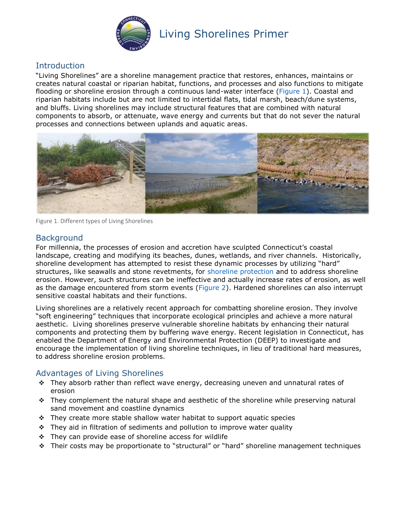

#### **Introduction**

"Living Shorelines" are a shoreline management practice that restores, enhances, maintains or creates natural coastal or riparian habitat, functions, and processes and also functions to mitigate flooding or shoreline erosion through a continuous land-water interface [\(Figure 1\)](#page-0-0). Coastal and riparian habitats include but are not limited to intertidal flats, tidal marsh, beach/dune systems, and bluffs. Living shorelines may include structural features that are combined with natural components to absorb, or attenuate, wave energy and currents but that do not sever the natural processes and connections between uplands and aquatic areas.



Figure 1. Different types of Living Shorelines

#### <span id="page-0-0"></span>**Background**

For millennia, the processes of erosion and accretion have sculpted Connecticut's coastal landscape, creating and modifying its beaches, dunes, wetlands, and river channels. Historically, shoreline development has attempted to resist these dynamic processes by utilizing "hard" structures, like seawalls and stone revetments, for [shoreline protection](https://portal.ct.gov/DEEP/Coastal-Resources/Living-on-the-Shore-Brochure/Shoreline-Protection) and to address shoreline erosion. However, such structures can be ineffective and actually increase rates of erosion, as well as the damage encountered from storm events [\(Figure 2\)](#page-1-0). Hardened shorelines can also interrupt sensitive coastal habitats and their functions.

Living shorelines are a relatively recent approach for combatting shoreline erosion. They involve "soft engineering" techniques that incorporate ecological principles and achieve a more natural aesthetic. Living shorelines preserve vulnerable shoreline habitats by enhancing their natural components and protecting them by buffering wave energy. Recent legislation in Connecticut, has enabled the Department of Energy and Environmental Protection (DEEP) to investigate and encourage the implementation of living shoreline techniques, in lieu of traditional hard measures, to address shoreline erosion problems.

#### Advantages of Living Shorelines

- \* They absorb rather than reflect wave energy, decreasing uneven and unnatural rates of erosion
- $\div$  They complement the natural shape and aesthetic of the shoreline while preserving natural sand movement and coastline dynamics
- $\div$  They create more stable shallow water habitat to support aquatic species
- $\div$  They aid in filtration of sediments and pollution to improve water quality
- $\div$  They can provide ease of shoreline access for wildlife
- \* Their costs may be proportionate to "structural" or "hard" shoreline management techniques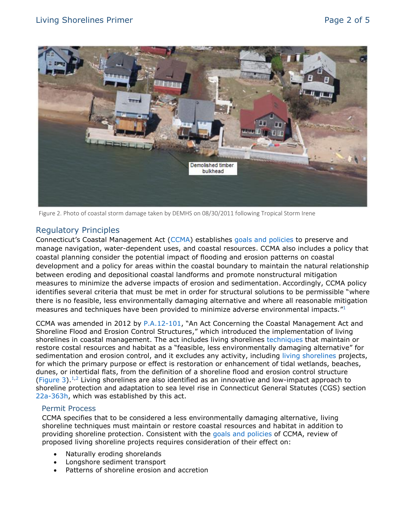

Figure 2. Photo of coastal storm damage taken by DEMHS on 08/30/2011 following Tropical Storm Irene

#### <span id="page-1-0"></span>Regulatory Principles

Connecticut's Coastal Management Act ([CCMA\)](https://www.cga.ct.gov/current/pub/chap_444.htm) establishes [goals and policies](https://www.cga.ct.gov/current/pub/chap_444.htm#sec_22a-92) to preserve and manage navigation, water-dependent uses, and coastal resources. CCMA also includes a policy that coastal planning consider the potential impact of flooding and erosion patterns on coastal development and a policy for areas within the coastal boundary to maintain the natural relationship between eroding and depositional coastal landforms and promote nonstructural mitigation measures to minimize the adverse impacts of erosion and sedimentation. Accordingly, CCMA policy identifies several criteria that must be met in order for structural solutions to be permissible "where there is no feasible, less environmentally damaging alternative and where all reasonable mitigation measures and techniques have been provided to minimize adverse environmental impacts. $^{\prime\prime 1}$  $^{\prime\prime 1}$  $^{\prime\prime 1}$ 

CCMA was amended in 2012 by [P.A.12-101](https://portal.ct.gov/-/media/DEEP/coastal-resources/coastal_management/PA12-101Guidance.pdf?la=en), "An Act Concerning the Coastal Management Act and Shoreline Flood and Erosion Control Structures," which introduced the implementation of living shorelines in coastal management. The act includes living shorelines [techniques](https://portal.ct.gov/-/media/DEEP/coastal-resources/coastal_management/Living_Shorelines/LS_Techniques.pdf?la=en) that maintain or restore costal resources and habitat as a "feasible, less environmentally damaging alternative" for sedimentation and erosion control, and it excludes any activity, including living shorelines projects, for which the primary purpose or effect is restoration or enhancement of tidal wetlands, beaches, dunes, or intertidal flats, from the definition of a shoreline flood and erosion control structure [\(Figure 3\)](#page-3-0).<sup>[1](https://www.cga.ct.gov/current/pub/chap_444.htm#sec_22a-92)[,2](https://www.cga.ct.gov/current/pub/chap_444.htm#sec_22a-109)</sup> Living shorelines are also identified as an innovative and low-impact approach to shoreline protection and adaptation to sea level rise in Connecticut General Statutes (CGS) section [22a-363h,](https://www.cga.ct.gov/current/pub/chap_446i.htm#sec_22a-363h) which was established by this act.

#### <span id="page-1-1"></span>Permit Process

CCMA specifies that to be considered a less environmentally damaging alternative, living shoreline techniques must maintain or restore coastal resources and habitat in addition to providing shoreline protection. Consistent with the [goals and policies](https://www.cga.ct.gov/current/pub/chap_444.htm#sec_22a-92) of CCMA, review of proposed living shoreline projects requires consideration of their effect on:

- Naturally eroding shorelands
- Longshore sediment transport
- Patterns of shoreline erosion and accretion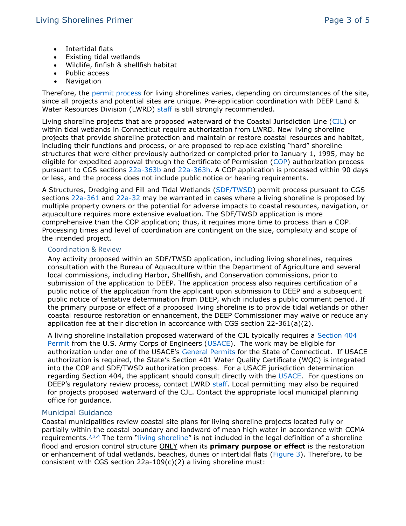- Intertidal flats
- Existing tidal wetlands
- Wildlife, finfish & shellfish habitat
- Public access
- Navigation

Therefore, the [permit process](https://portal.ct.gov/-/media/DEEP/coastal-resources/coastal_management/Living_Shorelines/LS_PermitProcess.pdf?la=en) for living shorelines varies, depending on circumstances of the site, since all projects and potential sites are unique. Pre-application coordination with DEEP Land & Water Resources Division (LWRD) [staff](https://portal.ct.gov/-/media/DEEP/coastal-resources/coastal_management/LWRDstaffcontacts.pdf?la=en) is still strongly recommended.

Living shoreline projects that are proposed waterward of the Coastal Jurisdiction Line [\(CJL\)](https://portal.ct.gov/DEEP/Coastal-Resources/Coastal-Permitting/Coastal-Jurisdiction-Line-Fact-Sheet) or within tidal wetlands in Connecticut require authorization from LWRD. New living shoreline projects that provide shoreline protection and maintain or restore coastal resources and habitat, including their functions and process, or are proposed to replace existing "hard" shoreline structures that were either previously authorized or completed prior to January 1, 1995, may be eligible for expedited approval through the Certificate of Permission [\(COP\)](https://portal.ct.gov/DEEP/Permits-and-Licenses/Permitting-Factsheets/Short-Permit-Process-Fact-Sheet) authorization process pursuant to CGS sections [22a-363b](https://www.cga.ct.gov/current/pub/chap_446i.htm#sec_22a-363b) and [22a-363h.](https://www.cga.ct.gov/current/pub/chap_446i.htm#sec_22a-363h) A COP application is processed within 90 days or less, and the process does not include public notice or hearing requirements.

A Structures, Dredging and Fill and Tidal Wetlands [\(SDF/TWSD\)](https://portal.ct.gov/DEEP/Coastal-Resources/Coastal-Permitting/Coastal-Permitting) permit process pursuant to CGS sections [22a-361](https://www.cga.ct.gov/current/pub/chap_446i.htm#sec_22a-361) and [22a-32](https://www.cga.ct.gov/current/pub/chap_440.htm#sec_22a-32) may be warranted in cases where a living shoreline is proposed by multiple property owners or the potential for adverse impacts to coastal resources, navigation, or aquaculture requires more extensive evaluation. The SDF/TWSD application is more comprehensive than the COP application; thus, it requires more time to process than a COP. Processing times and level of coordination are contingent on the size, complexity and scope of the intended project.

#### Coordination & Review

Any activity proposed within an SDF/TWSD application, including living shorelines, requires consultation with the Bureau of Aquaculture within the Department of Agriculture and several local commissions, including Harbor, Shellfish, and Conservation commissions, prior to submission of the application to DEEP. The application process also requires certification of a public notice of the application from the applicant upon submission to DEEP and a subsequent public notice of tentative determination from DEEP, which includes a public comment period. If the primary purpose or effect of a proposed living shoreline is to provide tidal wetlands or other coastal resource restoration or enhancement, the DEEP Commissioner may waive or reduce any application fee at their discretion in accordance with CGS section 22-361(a)(2).

A living shoreline installation proposed waterward of the CJL typically requires a [Section 404](https://www.epa.gov/cwa-404/permit-program-under-cwa-section-404)  [Permit](https://www.epa.gov/cwa-404/permit-program-under-cwa-section-404) from the U.S. Army Corps of Engineers [\(USACE\)](https://www.nae.usace.army.mil/Missions/Regulatory/). The work may be eligible for authorization under one of the USACE's [General Permits](https://www.nae.usace.army.mil/Missions/Regulatory/State-General-Permits/Connecticut-General-Permit/) for the State of Connecticut. If USACE authorization is required, the State's Section 401 Water Quality Certificate (WQC) is integrated into the COP and SDF/TWSD authorization process. For a USACE jurisdiction determination regarding Section 404, the applicant should consult directly with the [USACE.](https://www.nae.usace.army.mil/Missions/Regulatory/) For questions on DEEP's regulatory review process, contact LWRD [staff.](https://portal.ct.gov/-/media/DEEP/coastal-resources/coastal_management/LWRDstaffcontacts.pdf?la=en) Local permitting may also be required for projects proposed waterward of the CJL. Contact the appropriate local municipal planning office for guidance.

#### Municipal Guidance

Coastal municipalities review coastal site plans for living shoreline projects located fully or partially within the coastal boundary and landward of mean high water in accordance with CCMA requirements.<sup>[2,](https://www.cga.ct.gov/current/pub/chap_444.htm#sec_22a-109)[3](https://www.cga.ct.gov/current/pub/chap_444.htm#sec_22a-101)[,4](https://www.cga.ct.gov/current/pub/chap_444.htm#sec_22a-105)</sup> The term "living shoreline" is not included in the legal definition of a shoreline flood and erosion control structure ONLY when its **primary purpose or effect** is the restoration or enhancement of tidal wetlands, beaches, dunes or intertidal flats [\(Figure 3\)](#page-3-0). Therefore, to be consistent with CGS section 22a-109(c)(2) a living shoreline must: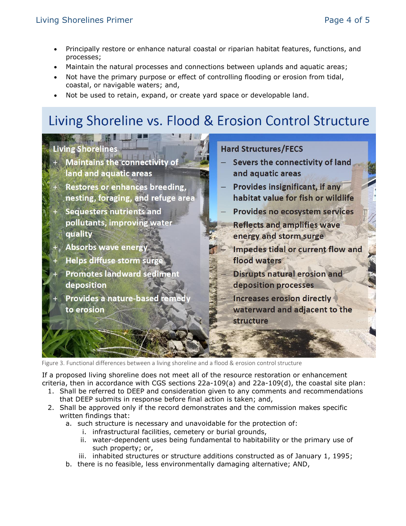- Principally restore or enhance natural coastal or riparian habitat features, functions, and processes;
- Maintain the natural processes and connections between uplands and aquatic areas;
- Not have the primary purpose or effect of controlling flooding or erosion from tidal, coastal, or navigable waters; and,
- Not be used to retain, expand, or create yard space or developable land.

# Living Shoreline vs. Flood & Erosion Control Structure

### Living Shoreline

- **Maintains the connectivity of** land and aquatic areas
- Restores or enhances breeding.  $+$ nesting, foraging, and refuge area
- **Sequesters nutrients and** pollutants, improving water quality
	- **Absorbs wave energy**
- **Helps diffuse storm surge** 
	- **Promotes landward sedime** deposition
- Provides a nature-based reme to erosion

#### **Hard Structures/FECS**

- Severs the connectivity of land and aquatic areas
- **Provides insignificant, if any** habitat value for fish or wildlife
- **Provides no ecosystem services Reflects and amplifies wave** energy and storm surge
- Impedes tidal or current flow and flood waters
	- **Disrupts natural erosion and** deposition processes
	- **Increases erosion directly** waterward and adjacent to the **structure**

<span id="page-3-0"></span>Figure 3. Functional differences between a living shoreline and a flood & erosion control structure

If a proposed living shoreline does not meet all of the resource restoration or enhancement criteria, then in accordance with CGS sections 22a-109(a) and 22a-109(d), the coastal site plan:

- 1. Shall be referred to DEEP and consideration given to any comments and recommendations that DEEP submits in response before final action is taken; and,
- 2. Shall be approved only if the record demonstrates and the commission makes specific written findings that:
	- a. such structure is necessary and unavoidable for the protection of:
		- i. infrastructural facilities, cemetery or burial grounds,
		- ii. water-dependent uses being fundamental to habitability or the primary use of such property; or,
		- iii. inhabited structures or structure additions constructed as of January 1, 1995;
	- b. there is no feasible, less environmentally damaging alternative; AND,